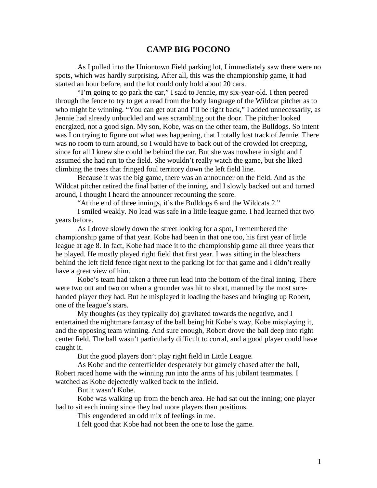## **CAMP BIG POCONO**

As I pulled into the Uniontown Field parking lot, I immediately saw there were no spots, which was hardly surprising. After all, this was the championship game, it had started an hour before, and the lot could only hold about 20 cars.

"I'm going to go park the car," I said to Jennie, my six-year-old. I then peered through the fence to try to get a read from the body language of the Wildcat pitcher as to who might be winning. "You can get out and I'll be right back," I added unnecessarily, as Jennie had already unbuckled and was scrambling out the door. The pitcher looked energized, not a good sign. My son, Kobe, was on the other team, the Bulldogs. So intent was I on trying to figure out what was happening, that I totally lost track of Jennie. There was no room to turn around, so I would have to back out of the crowded lot creeping, since for all I knew she could be behind the car. But she was nowhere in sight and I assumed she had run to the field. She wouldn't really watch the game, but she liked climbing the trees that fringed foul territory down the left field line.

Because it was the big game, there was an announcer on the field. And as the Wildcat pitcher retired the final batter of the inning, and I slowly backed out and turned around, I thought I heard the announcer recounting the score.

"At the end of three innings, it's the Bulldogs 6 and the Wildcats 2."

I smiled weakly. No lead was safe in a little league game. I had learned that two years before.

As I drove slowly down the street looking for a spot, I remembered the championship game of that year. Kobe had been in that one too, his first year of little league at age 8. In fact, Kobe had made it to the championship game all three years that he played. He mostly played right field that first year. I was sitting in the bleachers behind the left field fence right next to the parking lot for that game and I didn't really have a great view of him.

Kobe's team had taken a three run lead into the bottom of the final inning. There were two out and two on when a grounder was hit to short, manned by the most surehanded player they had. But he misplayed it loading the bases and bringing up Robert, one of the league's stars.

My thoughts (as they typically do) gravitated towards the negative, and I entertained the nightmare fantasy of the ball being hit Kobe's way, Kobe misplaying it, and the opposing team winning. And sure enough, Robert drove the ball deep into right center field. The ball wasn't particularly difficult to corral, and a good player could have caught it.

But the good players don't play right field in Little League.

As Kobe and the centerfielder desperately but gamely chased after the ball, Robert raced home with the winning run into the arms of his jubilant teammates. I watched as Kobe dejectedly walked back to the infield.

But it wasn't Kobe.

Kobe was walking up from the bench area. He had sat out the inning; one player had to sit each inning since they had more players than positions.

This engendered an odd mix of feelings in me.

I felt good that Kobe had not been the one to lose the game.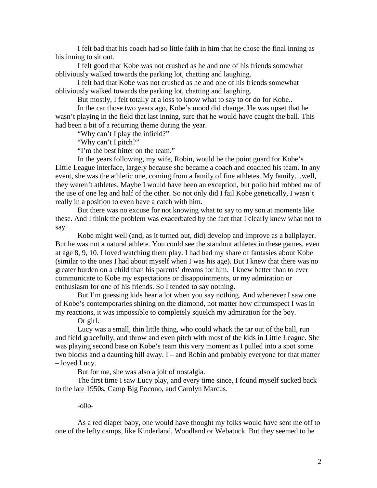I felt bad that his coach had so little faith in him that he chose the final inning as his inning to sit out.

I felt good that Kobe was not crushed as he and one of his friends somewhat obliviously walked towards the parking lot, chatting and laughing.

I felt bad that Kobe was not crushed as he and one of his friends somewhat obliviously walked towards the parking lot, chatting and laughing.

But mostly, I felt totally at a loss to know what to say to or do for Kobe..

In the car those two years ago, Kobe's mood did change. He was upset that he wasn't playing in the field that last inning, sure that he would have caught the ball. This had been a bit of a recurring theme during the year.

"Why can't I play the infield?"

"Why can't I pitch?"

"I'm the best hitter on the team."

In the years following, my wife, Robin, would be the point guard for Kobe's Little League interface, largely because she became a coach and coached his team. In any event, she was the athletic one, coming from a family of fine athletes. My family…well, they weren't athletes. Maybe I would have been an exception, but polio had robbed me of the use of one leg and half of the other. So not only did I fail Kobe genetically, I wasn't really in a position to even have a catch with him.

But there was no excuse for not knowing what to say to my son at moments like these. And I think the problem was exacerbated by the fact that I clearly knew what not to say.

Kobe might well (and, as it turned out, did) develop and improve as a ballplayer. But he was not a natural athlete. You could see the standout athletes in these games, even at age 8, 9, 10. I loved watching them play. I had had my share of fantasies about Kobe (similar to the ones I had about myself when I was his age). But I knew that there was no greater burden on a child than his parents' dreams for him. I knew better than to ever communicate to Kobe my expectations or disappointments, or my admiration or enthusiasm for one of his friends. So I tended to say nothing.

But I'm guessing kids hear a lot when you say nothing. And whenever I saw one of Kobe's contemporaries shining on the diamond, not matter how circumspect I was in my reactions, it was impossible to completely squelch my admiration for the boy.

Or girl.

Lucy was a small, thin little thing, who could whack the tar out of the ball, run and field gracefully, and throw and even pitch with most of the kids in Little League. She was playing second base on Kobe's team this very moment as I pulled into a spot some two blocks and a daunting hill away. I – and Robin and probably everyone for that matter – loved Lucy.

But for me, she was also a jolt of nostalgia.

The first time I saw Lucy play, and every time since, I found myself sucked back to the late 1950s, Camp Big Pocono, and Carolyn Marcus.

## -o0o-

As a red diaper baby, one would have thought my folks would have sent me off to one of the lefty camps, like Kinderland, Woodland or Webatuck. But they seemed to be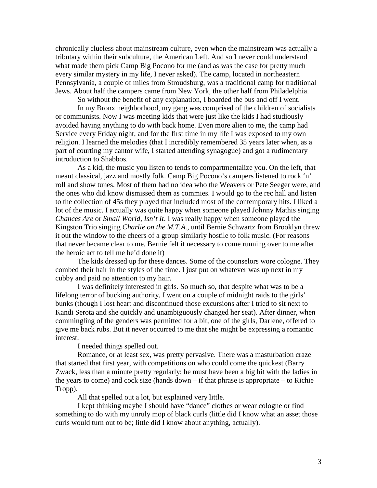chronically clueless about mainstream culture, even when the mainstream was actually a tributary within their subculture, the American Left. And so I never could understand what made them pick Camp Big Pocono for me (and as was the case for pretty much every similar mystery in my life, I never asked). The camp, located in northeastern Pennsylvania, a couple of miles from Stroudsburg, was a traditional camp for traditional Jews. About half the campers came from New York, the other half from Philadelphia.

So without the benefit of any explanation, I boarded the bus and off I went.

In my Bronx neighborhood, my gang was comprised of the children of socialists or communists. Now I was meeting kids that were just like the kids I had studiously avoided having anything to do with back home. Even more alien to me, the camp had Service every Friday night, and for the first time in my life I was exposed to my own religion. I learned the melodies (that I incredibly remembered 35 years later when, as a part of courting my cantor wife, I started attending synagogue) and got a rudimentary introduction to Shabbos.

As a kid, the music you listen to tends to compartmentalize you. On the left, that meant classical, jazz and mostly folk. Camp Big Pocono's campers listened to rock 'n' roll and show tunes. Most of them had no idea who the Weavers or Pete Seeger were, and the ones who did know dismissed them as commies. I would go to the rec hall and listen to the collection of 45s they played that included most of the contemporary hits. I liked a lot of the music. I actually was quite happy when someone played Johnny Mathis singing *Chances Are* or *Small World, Isn't It*. I was really happy when someone played the Kingston Trio singing *Charlie on the M.T.A.*, until Bernie Schwartz from Brooklyn threw it out the window to the cheers of a group similarly hostile to folk music. (For reasons that never became clear to me, Bernie felt it necessary to come running over to me after the heroic act to tell me he'd done it)

The kids dressed up for these dances. Some of the counselors wore cologne. They combed their hair in the styles of the time. I just put on whatever was up next in my cubby and paid no attention to my hair.

I was definitely interested in girls. So much so, that despite what was to be a lifelong terror of bucking authority, I went on a couple of midnight raids to the girls' bunks (though I lost heart and discontinued those excursions after I tried to sit next to Kandi Serota and she quickly and unambiguously changed her seat). After dinner, when commingling of the genders was permitted for a bit, one of the girls, Darlene, offered to give me back rubs. But it never occurred to me that she might be expressing a romantic interest.

I needed things spelled out.

Romance, or at least sex, was pretty pervasive. There was a masturbation craze that started that first year, with competitions on who could come the quickest (Barry Zwack, less than a minute pretty regularly; he must have been a big hit with the ladies in the years to come) and cock size (hands down – if that phrase is appropriate – to Richie Tropp).

All that spelled out a lot, but explained very little.

I kept thinking maybe I should have "dance" clothes or wear cologne or find something to do with my unruly mop of black curls (little did I know what an asset those curls would turn out to be; little did I know about anything, actually).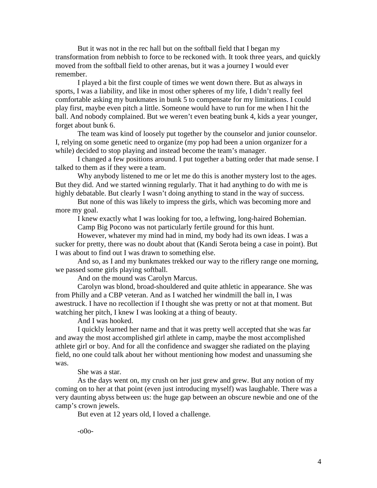But it was not in the rec hall but on the softball field that I began my transformation from nebbish to force to be reckoned with. It took three years, and quickly moved from the softball field to other arenas, but it was a journey I would ever remember.

I played a bit the first couple of times we went down there. But as always in sports, I was a liability, and like in most other spheres of my life, I didn't really feel comfortable asking my bunkmates in bunk 5 to compensate for my limitations. I could play first, maybe even pitch a little. Someone would have to run for me when I hit the ball. And nobody complained. But we weren't even beating bunk 4, kids a year younger, forget about bunk 6.

The team was kind of loosely put together by the counselor and junior counselor. I, relying on some genetic need to organize (my pop had been a union organizer for a while) decided to stop playing and instead become the team's manager.

I changed a few positions around. I put together a batting order that made sense. I talked to them as if they were a team.

Why anybody listened to me or let me do this is another mystery lost to the ages. But they did. And we started winning regularly. That it had anything to do with me is highly debatable. But clearly I wasn't doing anything to stand in the way of success.

But none of this was likely to impress the girls, which was becoming more and more my goal.

I knew exactly what I was looking for too, a leftwing, long-haired Bohemian.

Camp Big Pocono was not particularly fertile ground for this hunt.

However, whatever my mind had in mind, my body had its own ideas. I was a sucker for pretty, there was no doubt about that (Kandi Serota being a case in point). But I was about to find out I was drawn to something else.

And so, as I and my bunkmates trekked our way to the riflery range one morning, we passed some girls playing softball.

And on the mound was Carolyn Marcus.

Carolyn was blond, broad-shouldered and quite athletic in appearance. She was from Philly and a CBP veteran. And as I watched her windmill the ball in, I was awestruck. I have no recollection if I thought she was pretty or not at that moment. But watching her pitch, I knew I was looking at a thing of beauty.

And I was hooked.

I quickly learned her name and that it was pretty well accepted that she was far and away the most accomplished girl athlete in camp, maybe the most accomplished athlete girl or boy. And for all the confidence and swagger she radiated on the playing field, no one could talk about her without mentioning how modest and unassuming she was.

She was a star.

As the days went on, my crush on her just grew and grew. But any notion of my coming on to her at that point (even just introducing myself) was laughable. There was a very daunting abyss between us: the huge gap between an obscure newbie and one of the camp's crown jewels.

But even at 12 years old, I loved a challenge.

-o0o-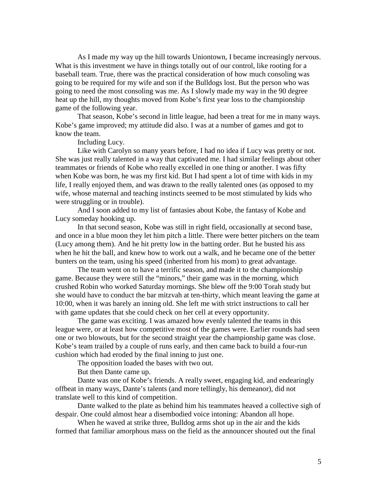As I made my way up the hill towards Uniontown, I became increasingly nervous. What is this investment we have in things totally out of our control, like rooting for a baseball team. True, there was the practical consideration of how much consoling was going to be required for my wife and son if the Bulldogs lost. But the person who was going to need the most consoling was me. As I slowly made my way in the 90 degree heat up the hill, my thoughts moved from Kobe's first year loss to the championship game of the following year.

That season, Kobe's second in little league, had been a treat for me in many ways. Kobe's game improved; my attitude did also. I was at a number of games and got to know the team.

Including Lucy.

Like with Carolyn so many years before, I had no idea if Lucy was pretty or not. She was just really talented in a way that captivated me. I had similar feelings about other teammates or friends of Kobe who really excelled in one thing or another. I was fifty when Kobe was born, he was my first kid. But I had spent a lot of time with kids in my life, I really enjoyed them, and was drawn to the really talented ones (as opposed to my wife, whose maternal and teaching instincts seemed to be most stimulated by kids who were struggling or in trouble).

And I soon added to my list of fantasies about Kobe, the fantasy of Kobe and Lucy someday hooking up.

In that second season, Kobe was still in right field, occasionally at second base, and once in a blue moon they let him pitch a little. There were better pitchers on the team (Lucy among them). And he hit pretty low in the batting order. But he busted his ass when he hit the ball, and knew how to work out a walk, and he became one of the better bunters on the team, using his speed (inherited from his mom) to great advantage.

The team went on to have a terrific season, and made it to the championship game. Because they were still the "minors," their game was in the morning, which crushed Robin who worked Saturday mornings. She blew off the 9:00 Torah study but she would have to conduct the bar mitzvah at ten-thirty, which meant leaving the game at 10:00, when it was barely an inning old. She left me with strict instructions to call her with game updates that she could check on her cell at every opportunity.

The game was exciting. I was amazed how evenly talented the teams in this league were, or at least how competitive most of the games were. Earlier rounds had seen one or two blowouts, but for the second straight year the championship game was close. Kobe's team trailed by a couple of runs early, and then came back to build a four-run cushion which had eroded by the final inning to just one.

The opposition loaded the bases with two out.

But then Dante came up.

Dante was one of Kobe's friends. A really sweet, engaging kid, and endearingly offbeat in many ways, Dante's talents (and more tellingly, his demeanor), did not translate well to this kind of competition.

Dante walked to the plate as behind him his teammates heaved a collective sigh of despair. One could almost hear a disembodied voice intoning: Abandon all hope.

When he waved at strike three, Bulldog arms shot up in the air and the kids formed that familiar amorphous mass on the field as the announcer shouted out the final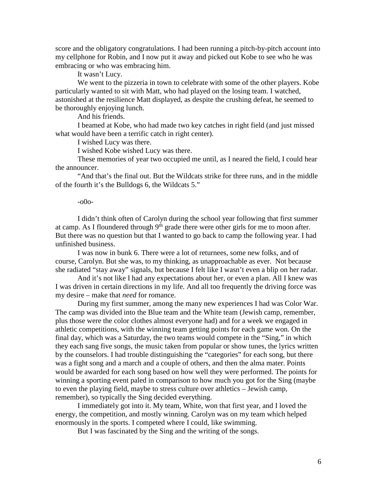score and the obligatory congratulations. I had been running a pitch-by-pitch account into my cellphone for Robin, and I now put it away and picked out Kobe to see who he was embracing or who was embracing him.

It wasn't Lucy.

We went to the pizzeria in town to celebrate with some of the other players. Kobe particularly wanted to sit with Matt, who had played on the losing team. I watched, astonished at the resilience Matt displayed, as despite the crushing defeat, he seemed to be thoroughly enjoying lunch.

And his friends.

I beamed at Kobe, who had made two key catches in right field (and just missed what would have been a terrific catch in right center).

I wished Lucy was there.

I wished Kobe wished Lucy was there.

These memories of year two occupied me until, as I neared the field, I could hear the announcer.

"And that's the final out. But the Wildcats strike for three runs, and in the middle of the fourth it's the Bulldogs 6, the Wildcats 5."

## -o0o-

I didn't think often of Carolyn during the school year following that first summer at camp. As I floundered through  $9<sup>th</sup>$  grade there were other girls for me to moon after. But there was no question but that I wanted to go back to camp the following year. I had unfinished business.

I was now in bunk 6. There were a lot of returnees, some new folks, and of course, Carolyn. But she was, to my thinking, as unapproachable as ever. Not because she radiated "stay away" signals, but because I felt like I wasn't even a blip on her radar.

And it's not like I had any expectations about her, or even a plan. All I knew was I was driven in certain directions in my life. And all too frequently the driving force was my desire – make that *need* for romance.

During my first summer, among the many new experiences I had was Color War. The camp was divided into the Blue team and the White team (Jewish camp, remember, plus those were the color clothes almost everyone had) and for a week we engaged in athletic competitions, with the winning team getting points for each game won. On the final day, which was a Saturday, the two teams would compete in the "Sing," in which they each sang five songs, the music taken from popular or show tunes, the lyrics written by the counselors. I had trouble distinguishing the "categories" for each song, but there was a fight song and a march and a couple of others, and then the alma mater. Points would be awarded for each song based on how well they were performed. The points for winning a sporting event paled in comparison to how much you got for the Sing (maybe to even the playing field, maybe to stress culture over athletics – Jewish camp, remember), so typically the Sing decided everything.

I immediately got into it. My team, White, won that first year, and I loved the energy, the competition, and mostly winning. Carolyn was on my team which helped enormously in the sports. I competed where I could, like swimming.

But I was fascinated by the Sing and the writing of the songs.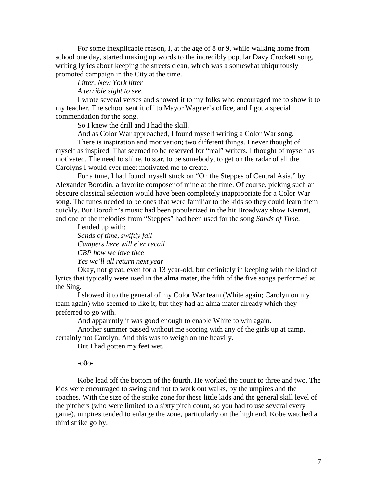For some inexplicable reason, I, at the age of 8 or 9, while walking home from school one day, started making up words to the incredibly popular Davy Crockett song, writing lyrics about keeping the streets clean, which was a somewhat ubiquitously promoted campaign in the City at the time.

*Litter, New York litter* 

*A terrible sight to see.*

I wrote several verses and showed it to my folks who encouraged me to show it to my teacher. The school sent it off to Mayor Wagner's office, and I got a special commendation for the song.

So I knew the drill and I had the skill.

And as Color War approached, I found myself writing a Color War song.

There is inspiration and motivation; two different things. I never thought of myself as inspired. That seemed to be reserved for "real" writers. I thought of myself as motivated. The need to shine, to star, to be somebody, to get on the radar of all the Carolyns I would ever meet motivated me to create.

For a tune, I had found myself stuck on "On the Steppes of Central Asia," by Alexander Borodin, a favorite composer of mine at the time. Of course, picking such an obscure classical selection would have been completely inappropriate for a Color War song. The tunes needed to be ones that were familiar to the kids so they could learn them quickly. But Borodin's music had been popularized in the hit Broadway show Kismet, and one of the melodies from "Steppes" had been used for the song *Sands of Time*.

I ended up with: *Sands of time, swiftly fall Campers here will e'er recall CBP how we love thee Yes we'll all return next year* 

Okay, not great, even for a 13 year-old, but definitely in keeping with the kind of lyrics that typically were used in the alma mater, the fifth of the five songs performed at the Sing.

I showed it to the general of my Color War team (White again; Carolyn on my team again) who seemed to like it, but they had an alma mater already which they preferred to go with.

And apparently it was good enough to enable White to win again.

Another summer passed without me scoring with any of the girls up at camp, certainly not Carolyn. And this was to weigh on me heavily.

But I had gotten my feet wet.

-o0o-

Kobe lead off the bottom of the fourth. He worked the count to three and two. The kids were encouraged to swing and not to work out walks, by the umpires and the coaches. With the size of the strike zone for these little kids and the general skill level of the pitchers (who were limited to a sixty pitch count, so you had to use several every game), umpires tended to enlarge the zone, particularly on the high end. Kobe watched a third strike go by.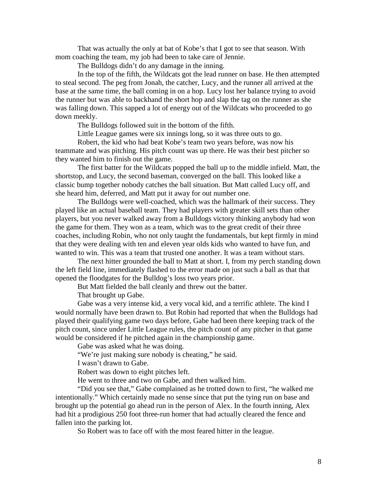That was actually the only at bat of Kobe's that I got to see that season. With mom coaching the team, my job had been to take care of Jennie.

The Bulldogs didn't do any damage in the inning.

In the top of the fifth, the Wildcats got the lead runner on base. He then attempted to steal second. The peg from Jonah, the catcher, Lucy, and the runner all arrived at the base at the same time, the ball coming in on a hop. Lucy lost her balance trying to avoid the runner but was able to backhand the short hop and slap the tag on the runner as she was falling down. This sapped a lot of energy out of the Wildcats who proceeded to go down meekly.

The Bulldogs followed suit in the bottom of the fifth.

Little League games were six innings long, so it was three outs to go.

Robert, the kid who had beat Kobe's team two years before, was now his teammate and was pitching. His pitch count was up there. He was their best pitcher so they wanted him to finish out the game.

The first batter for the Wildcats popped the ball up to the middle infield. Matt, the shortstop, and Lucy, the second baseman, converged on the ball. This looked like a classic bump together nobody catches the ball situation. But Matt called Lucy off, and she heard him, deferred, and Matt put it away for out number one.

The Bulldogs were well-coached, which was the hallmark of their success. They played like an actual baseball team. They had players with greater skill sets than other players, but you never walked away from a Bulldogs victory thinking anybody had won the game for them. They won as a team, which was to the great credit of their three coaches, including Robin, who not only taught the fundamentals, but kept firmly in mind that they were dealing with ten and eleven year olds kids who wanted to have fun, and wanted to win. This was a team that trusted one another. It was a team without stars.

The next hitter grounded the ball to Matt at short. I, from my perch standing down the left field line, immediately flashed to the error made on just such a ball as that that opened the floodgates for the Bulldog's loss two years prior.

But Matt fielded the ball cleanly and threw out the batter.

That brought up Gabe.

Gabe was a very intense kid, a very vocal kid, and a terrific athlete. The kind I would normally have been drawn to. But Robin had reported that when the Bulldogs had played their qualifying game two days before, Gabe had been there keeping track of the pitch count, since under Little League rules, the pitch count of any pitcher in that game would be considered if he pitched again in the championship game.

Gabe was asked what he was doing.

"We're just making sure nobody is cheating," he said.

I wasn't drawn to Gabe.

Robert was down to eight pitches left.

He went to three and two on Gabe, and then walked him.

"Did you see that," Gabe complained as he trotted down to first, "he walked me intentionally." Which certainly made no sense since that put the tying run on base and brought up the potential go ahead run in the person of Alex. In the fourth inning, Alex had hit a prodigious 250 foot three-run homer that had actually cleared the fence and fallen into the parking lot.

So Robert was to face off with the most feared hitter in the league.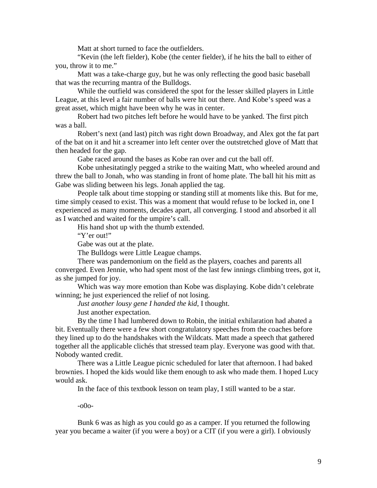Matt at short turned to face the outfielders.

"Kevin (the left fielder), Kobe (the center fielder), if he hits the ball to either of you, throw it to me."

Matt was a take-charge guy, but he was only reflecting the good basic baseball that was the recurring mantra of the Bulldogs.

While the outfield was considered the spot for the lesser skilled players in Little League, at this level a fair number of balls were hit out there. And Kobe's speed was a great asset, which might have been why he was in center.

Robert had two pitches left before he would have to be yanked. The first pitch was a ball.

Robert's next (and last) pitch was right down Broadway, and Alex got the fat part of the bat on it and hit a screamer into left center over the outstretched glove of Matt that then headed for the gap.

Gabe raced around the bases as Kobe ran over and cut the ball off.

Kobe unhesitatingly pegged a strike to the waiting Matt, who wheeled around and threw the ball to Jonah, who was standing in front of home plate. The ball hit his mitt as Gabe was sliding between his legs. Jonah applied the tag.

People talk about time stopping or standing still at moments like this. But for me, time simply ceased to exist. This was a moment that would refuse to be locked in, one I experienced as many moments, decades apart, all converging. I stood and absorbed it all as I watched and waited for the umpire's call.

His hand shot up with the thumb extended.

"Y'er out!"

Gabe was out at the plate.

The Bulldogs were Little League champs.

There was pandemonium on the field as the players, coaches and parents all converged. Even Jennie, who had spent most of the last few innings climbing trees, got it, as she jumped for joy.

Which was way more emotion than Kobe was displaying. Kobe didn't celebrate winning; he just experienced the relief of not losing.

*Just another lousy gene I handed the kid*, I thought.

Just another expectation.

By the time I had lumbered down to Robin, the initial exhilaration had abated a bit. Eventually there were a few short congratulatory speeches from the coaches before they lined up to do the handshakes with the Wildcats. Matt made a speech that gathered together all the applicable clichés that stressed team play. Everyone was good with that. Nobody wanted credit.

There was a Little League picnic scheduled for later that afternoon. I had baked brownies. I hoped the kids would like them enough to ask who made them. I hoped Lucy would ask.

In the face of this textbook lesson on team play, I still wanted to be a star.

-o0o-

Bunk 6 was as high as you could go as a camper. If you returned the following year you became a waiter (if you were a boy) or a CIT (if you were a girl). I obviously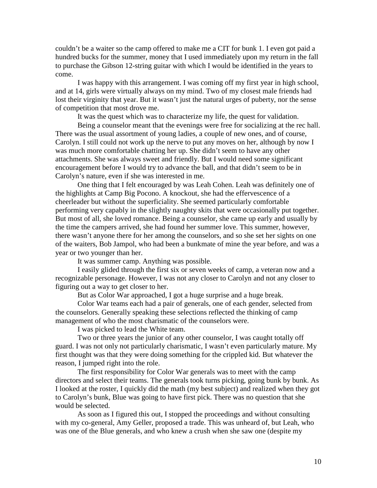couldn't be a waiter so the camp offered to make me a CIT for bunk 1. I even got paid a hundred bucks for the summer, money that I used immediately upon my return in the fall to purchase the Gibson 12-string guitar with which I would be identified in the years to come.

I was happy with this arrangement. I was coming off my first year in high school, and at 14, girls were virtually always on my mind. Two of my closest male friends had lost their virginity that year. But it wasn't just the natural urges of puberty, nor the sense of competition that most drove me.

It was the quest which was to characterize my life, the quest for validation.

Being a counselor meant that the evenings were free for socializing at the rec hall. There was the usual assortment of young ladies, a couple of new ones, and of course, Carolyn. I still could not work up the nerve to put any moves on her, although by now I was much more comfortable chatting her up. She didn't seem to have any other attachments. She was always sweet and friendly. But I would need some significant encouragement before I would try to advance the ball, and that didn't seem to be in Carolyn's nature, even if she was interested in me.

One thing that I felt encouraged by was Leah Cohen. Leah was definitely one of the highlights at Camp Big Pocono. A knockout, she had the effervescence of a cheerleader but without the superficiality. She seemed particularly comfortable performing very capably in the slightly naughty skits that were occasionally put together. But most of all, she loved romance. Being a counselor, she came up early and usually by the time the campers arrived, she had found her summer love. This summer, however, there wasn't anyone there for her among the counselors, and so she set her sights on one of the waiters, Bob Jampol, who had been a bunkmate of mine the year before, and was a year or two younger than her.

It was summer camp. Anything was possible.

I easily glided through the first six or seven weeks of camp, a veteran now and a recognizable personage. However, I was not any closer to Carolyn and not any closer to figuring out a way to get closer to her.

But as Color War approached, I got a huge surprise and a huge break.

Color War teams each had a pair of generals, one of each gender, selected from the counselors. Generally speaking these selections reflected the thinking of camp management of who the most charismatic of the counselors were.

I was picked to lead the White team.

Two or three years the junior of any other counselor, I was caught totally off guard. I was not only not particularly charismatic, I wasn't even particularly mature. My first thought was that they were doing something for the crippled kid. But whatever the reason, I jumped right into the role.

The first responsibility for Color War generals was to meet with the camp directors and select their teams. The generals took turns picking, going bunk by bunk. As I looked at the roster, I quickly did the math (my best subject) and realized when they got to Carolyn's bunk, Blue was going to have first pick. There was no question that she would be selected.

As soon as I figured this out, I stopped the proceedings and without consulting with my co-general, Amy Geller, proposed a trade. This was unheard of, but Leah, who was one of the Blue generals, and who knew a crush when she saw one (despite my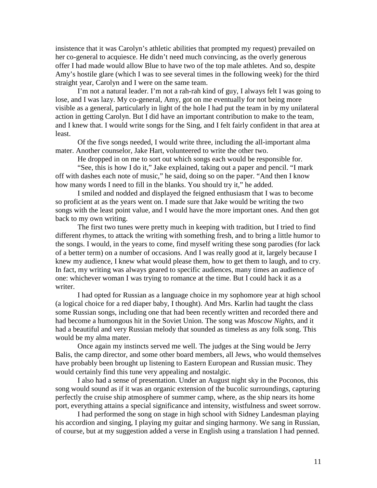insistence that it was Carolyn's athletic abilities that prompted my request) prevailed on her co-general to acquiesce. He didn't need much convincing, as the overly generous offer I had made would allow Blue to have two of the top male athletes. And so, despite Amy's hostile glare (which I was to see several times in the following week) for the third straight year, Carolyn and I were on the same team.

I'm not a natural leader. I'm not a rah-rah kind of guy, I always felt I was going to lose, and I was lazy. My co-general, Amy, got on me eventually for not being more visible as a general, particularly in light of the hole I had put the team in by my unilateral action in getting Carolyn. But I did have an important contribution to make to the team, and I knew that. I would write songs for the Sing, and I felt fairly confident in that area at least.

Of the five songs needed, I would write three, including the all-important alma mater. Another counselor, Jake Hart, volunteered to write the other two.

He dropped in on me to sort out which songs each would be responsible for.

"See, this is how I do it," Jake explained, taking out a paper and pencil. "I mark off with dashes each note of music," he said, doing so on the paper. "And then I know how many words I need to fill in the blanks. You should try it," he added.

I smiled and nodded and displayed the feigned enthusiasm that I was to become so proficient at as the years went on. I made sure that Jake would be writing the two songs with the least point value, and I would have the more important ones. And then got back to my own writing.

The first two tunes were pretty much in keeping with tradition, but I tried to find different rhymes, to attack the writing with something fresh, and to bring a little humor to the songs. I would, in the years to come, find myself writing these song parodies (for lack of a better term) on a number of occasions. And I was really good at it, largely because I knew my audience, I knew what would please them, how to get them to laugh, and to cry. In fact, my writing was always geared to specific audiences, many times an audience of one: whichever woman I was trying to romance at the time. But I could hack it as a writer.

I had opted for Russian as a language choice in my sophomore year at high school (a logical choice for a red diaper baby, I thought). And Mrs. Karlin had taught the class some Russian songs, including one that had been recently written and recorded there and had become a humongous hit in the Soviet Union. The song was *Moscow Nights*, and it had a beautiful and very Russian melody that sounded as timeless as any folk song. This would be my alma mater.

Once again my instincts served me well. The judges at the Sing would be Jerry Balis, the camp director, and some other board members, all Jews, who would themselves have probably been brought up listening to Eastern European and Russian music. They would certainly find this tune very appealing and nostalgic.

I also had a sense of presentation. Under an August night sky in the Poconos, this song would sound as if it was an organic extension of the bucolic surroundings, capturing perfectly the cruise ship atmosphere of summer camp, where, as the ship nears its home port, everything attains a special significance and intensity, wistfulness and sweet sorrow.

I had performed the song on stage in high school with Sidney Landesman playing his accordion and singing, I playing my guitar and singing harmony. We sang in Russian, of course, but at my suggestion added a verse in English using a translation I had penned.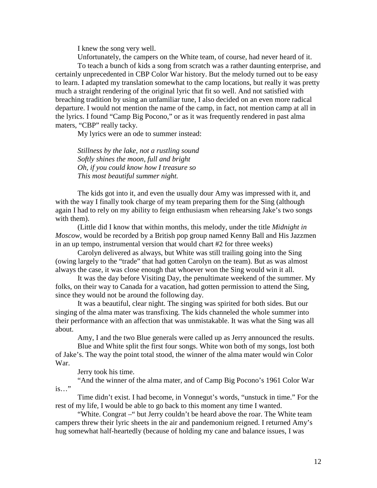I knew the song very well.

Unfortunately, the campers on the White team, of course, had never heard of it.

To teach a bunch of kids a song from scratch was a rather daunting enterprise, and certainly unprecedented in CBP Color War history. But the melody turned out to be easy to learn. I adapted my translation somewhat to the camp locations, but really it was pretty much a straight rendering of the original lyric that fit so well. And not satisfied with breaching tradition by using an unfamiliar tune, I also decided on an even more radical departure. I would not mention the name of the camp, in fact, not mention camp at all in the lyrics. I found "Camp Big Pocono," or as it was frequently rendered in past alma maters, "CBP" really tacky.

My lyrics were an ode to summer instead:

*Stillness by the lake, not a rustling sound Softly shines the moon, full and bright Oh, if you could know how I treasure so This most beautiful summer night.*

The kids got into it, and even the usually dour Amy was impressed with it, and with the way I finally took charge of my team preparing them for the Sing (although again I had to rely on my ability to feign enthusiasm when rehearsing Jake's two songs with them).

(Little did I know that within months, this melody, under the title *Midnight in Moscow,* would be recorded by a British pop group named Kenny Ball and His Jazzmen in an up tempo, instrumental version that would chart #2 for three weeks)

Carolyn delivered as always, but White was still trailing going into the Sing (owing largely to the "trade" that had gotten Carolyn on the team). But as was almost always the case, it was close enough that whoever won the Sing would win it all.

It was the day before Visiting Day, the penultimate weekend of the summer. My folks, on their way to Canada for a vacation, had gotten permission to attend the Sing, since they would not be around the following day.

It was a beautiful, clear night. The singing was spirited for both sides. But our singing of the alma mater was transfixing. The kids channeled the whole summer into their performance with an affection that was unmistakable. It was what the Sing was all about.

Amy, I and the two Blue generals were called up as Jerry announced the results.

Blue and White split the first four songs. White won both of my songs, lost both of Jake's. The way the point total stood, the winner of the alma mater would win Color War.

Jerry took his time.

"And the winner of the alma mater, and of Camp Big Pocono's 1961 Color War is…"

Time didn't exist. I had become, in Vonnegut's words, "unstuck in time." For the rest of my life, I would be able to go back to this moment any time I wanted.

"White. Congrat –" but Jerry couldn't be heard above the roar. The White team campers threw their lyric sheets in the air and pandemonium reigned. I returned Amy's hug somewhat half-heartedly (because of holding my cane and balance issues, I was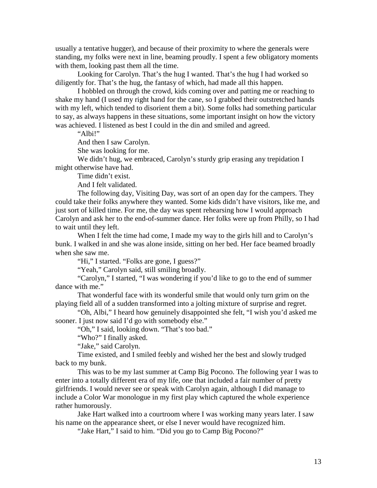usually a tentative hugger), and because of their proximity to where the generals were standing, my folks were next in line, beaming proudly. I spent a few obligatory moments with them, looking past them all the time.

Looking for Carolyn. That's the hug I wanted. That's the hug I had worked so diligently for. That's the hug, the fantasy of which, had made all this happen.

I hobbled on through the crowd, kids coming over and patting me or reaching to shake my hand (I used my right hand for the cane, so I grabbed their outstretched hands with my left, which tended to disorient them a bit). Some folks had something particular to say, as always happens in these situations, some important insight on how the victory was achieved. I listened as best I could in the din and smiled and agreed.

"Albi $"$ 

And then I saw Carolyn.

She was looking for me.

We didn't hug, we embraced, Carolyn's sturdy grip erasing any trepidation I might otherwise have had.

Time didn't exist.

And I felt validated.

The following day, Visiting Day, was sort of an open day for the campers. They could take their folks anywhere they wanted. Some kids didn't have visitors, like me, and just sort of killed time. For me, the day was spent rehearsing how I would approach Carolyn and ask her to the end-of-summer dance. Her folks were up from Philly, so I had to wait until they left.

When I felt the time had come, I made my way to the girls hill and to Carolyn's bunk. I walked in and she was alone inside, sitting on her bed. Her face beamed broadly when she saw me.

"Hi," I started. "Folks are gone, I guess?"

"Yeah," Carolyn said, still smiling broadly.

"Carolyn," I started, "I was wondering if you'd like to go to the end of summer dance with me."

That wonderful face with its wonderful smile that would only turn grim on the playing field all of a sudden transformed into a jolting mixture of surprise and regret.

"Oh, Albi," I heard how genuinely disappointed she felt, "I wish you'd asked me sooner. I just now said I'd go with somebody else."

"Oh," I said, looking down. "That's too bad."

"Who?" I finally asked.

"Jake," said Carolyn.

Time existed, and I smiled feebly and wished her the best and slowly trudged back to my bunk.

This was to be my last summer at Camp Big Pocono. The following year I was to enter into a totally different era of my life, one that included a fair number of pretty girlfriends. I would never see or speak with Carolyn again, although I did manage to include a Color War monologue in my first play which captured the whole experience rather humorously.

Jake Hart walked into a courtroom where I was working many years later. I saw his name on the appearance sheet, or else I never would have recognized him.

"Jake Hart," I said to him. "Did you go to Camp Big Pocono?"